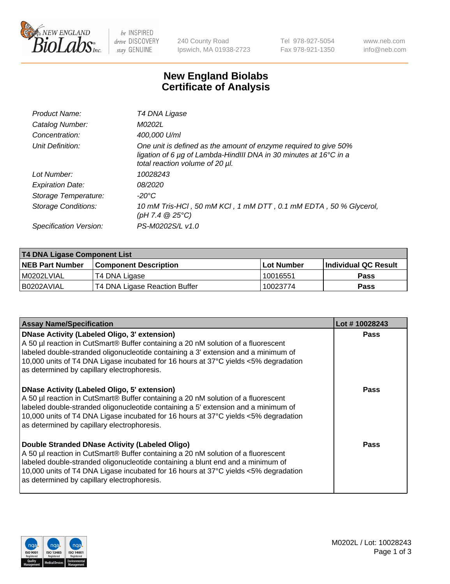

be INSPIRED drive DISCOVERY stay GENUINE

240 County Road Ipswich, MA 01938-2723 Tel 978-927-5054 Fax 978-921-1350 www.neb.com info@neb.com

## **New England Biolabs Certificate of Analysis**

| Product Name:              | T4 DNA Ligase                                                                                                                                                            |
|----------------------------|--------------------------------------------------------------------------------------------------------------------------------------------------------------------------|
| Catalog Number:            | M0202L                                                                                                                                                                   |
| Concentration:             | 400,000 U/ml                                                                                                                                                             |
| Unit Definition:           | One unit is defined as the amount of enzyme required to give 50%<br>ligation of 6 µg of Lambda-HindIII DNA in 30 minutes at 16°C in a<br>total reaction volume of 20 µl. |
| Lot Number:                | 10028243                                                                                                                                                                 |
| <b>Expiration Date:</b>    | 08/2020                                                                                                                                                                  |
| Storage Temperature:       | -20°C                                                                                                                                                                    |
| <b>Storage Conditions:</b> | 10 mM Tris-HCl, 50 mM KCl, 1 mM DTT, 0.1 mM EDTA, 50 % Glycerol,<br>(pH 7.4 $@25°C$ )                                                                                    |
| Specification Version:     | PS-M0202S/L v1.0                                                                                                                                                         |

| T4 DNA Ligase Component List |                               |                   |                      |  |
|------------------------------|-------------------------------|-------------------|----------------------|--|
| <b>NEB Part Number</b>       | <b>Component Description</b>  | <b>Lot Number</b> | Individual QC Result |  |
| I M0202LVIAL                 | T4 DNA Ligase                 | 10016551          | <b>Pass</b>          |  |
| I B0202AVIAL                 | T4 DNA Ligase Reaction Buffer | 10023774          | <b>Pass</b>          |  |

| <b>Assay Name/Specification</b>                                                                                                                                                                                                                                                                                                                                      | Lot #10028243 |
|----------------------------------------------------------------------------------------------------------------------------------------------------------------------------------------------------------------------------------------------------------------------------------------------------------------------------------------------------------------------|---------------|
| <b>DNase Activity (Labeled Oligo, 3' extension)</b><br>A 50 µl reaction in CutSmart® Buffer containing a 20 nM solution of a fluorescent<br>labeled double-stranded oligonucleotide containing a 3' extension and a minimum of<br>10,000 units of T4 DNA Ligase incubated for 16 hours at 37°C yields <5% degradation<br>as determined by capillary electrophoresis. | <b>Pass</b>   |
| <b>DNase Activity (Labeled Oligo, 5' extension)</b><br>A 50 µl reaction in CutSmart® Buffer containing a 20 nM solution of a fluorescent<br>labeled double-stranded oligonucleotide containing a 5' extension and a minimum of<br>10,000 units of T4 DNA Ligase incubated for 16 hours at 37°C yields <5% degradation<br>as determined by capillary electrophoresis. | Pass          |
| Double Stranded DNase Activity (Labeled Oligo)<br>A 50 µl reaction in CutSmart® Buffer containing a 20 nM solution of a fluorescent<br>labeled double-stranded oligonucleotide containing a blunt end and a minimum of<br>10,000 units of T4 DNA Ligase incubated for 16 hours at 37°C yields <5% degradation<br>as determined by capillary electrophoresis.         | Pass          |

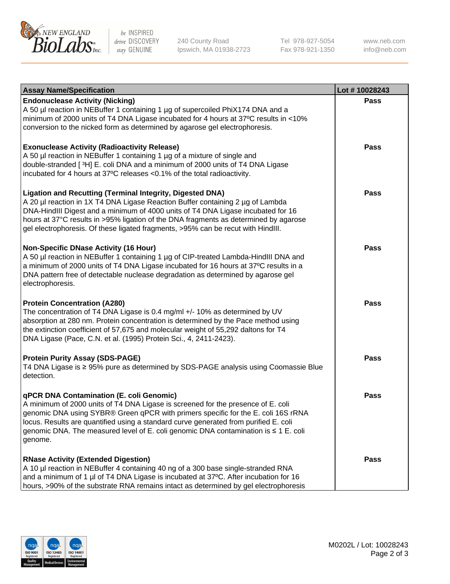

be INSPIRED drive DISCOVERY stay GENUINE

240 County Road Ipswich, MA 01938-2723 Tel 978-927-5054 Fax 978-921-1350

www.neb.com info@neb.com

| <b>Assay Name/Specification</b>                                                                                                                                                                                                                                                                                                                                                                             | Lot #10028243 |
|-------------------------------------------------------------------------------------------------------------------------------------------------------------------------------------------------------------------------------------------------------------------------------------------------------------------------------------------------------------------------------------------------------------|---------------|
| <b>Endonuclease Activity (Nicking)</b><br>A 50 µl reaction in NEBuffer 1 containing 1 µg of supercoiled PhiX174 DNA and a<br>minimum of 2000 units of T4 DNA Ligase incubated for 4 hours at 37°C results in <10%<br>conversion to the nicked form as determined by agarose gel electrophoresis.                                                                                                            | <b>Pass</b>   |
| <b>Exonuclease Activity (Radioactivity Release)</b><br>A 50 µl reaction in NEBuffer 1 containing 1 µg of a mixture of single and<br>double-stranded [3H] E. coli DNA and a minimum of 2000 units of T4 DNA Ligase<br>incubated for 4 hours at 37°C releases <0.1% of the total radioactivity.                                                                                                               | <b>Pass</b>   |
| Ligation and Recutting (Terminal Integrity, Digested DNA)<br>A 20 µl reaction in 1X T4 DNA Ligase Reaction Buffer containing 2 µg of Lambda<br>DNA-HindIII Digest and a minimum of 4000 units of T4 DNA Ligase incubated for 16<br>hours at 37°C results in >95% ligation of the DNA fragments as determined by agarose<br>gel electrophoresis. Of these ligated fragments, >95% can be recut with HindIII. | <b>Pass</b>   |
| <b>Non-Specific DNase Activity (16 Hour)</b><br>A 50 µl reaction in NEBuffer 1 containing 1 µg of CIP-treated Lambda-HindIII DNA and<br>a minimum of 2000 units of T4 DNA Ligase incubated for 16 hours at 37°C results in a<br>DNA pattern free of detectable nuclease degradation as determined by agarose gel<br>electrophoresis.                                                                        | <b>Pass</b>   |
| <b>Protein Concentration (A280)</b><br>The concentration of T4 DNA Ligase is 0.4 mg/ml +/- 10% as determined by UV<br>absorption at 280 nm. Protein concentration is determined by the Pace method using<br>the extinction coefficient of 57,675 and molecular weight of 55,292 daltons for T4<br>DNA Ligase (Pace, C.N. et al. (1995) Protein Sci., 4, 2411-2423).                                         | <b>Pass</b>   |
| <b>Protein Purity Assay (SDS-PAGE)</b><br>T4 DNA Ligase is ≥ 95% pure as determined by SDS-PAGE analysis using Coomassie Blue<br>detection.                                                                                                                                                                                                                                                                 | <b>Pass</b>   |
| qPCR DNA Contamination (E. coli Genomic)<br>A minimum of 2000 units of T4 DNA Ligase is screened for the presence of E. coli<br>genomic DNA using SYBR® Green qPCR with primers specific for the E. coli 16S rRNA<br>locus. Results are quantified using a standard curve generated from purified E. coli<br>genomic DNA. The measured level of E. coli genomic DNA contamination is ≤ 1 E. coli<br>genome. | <b>Pass</b>   |
| <b>RNase Activity (Extended Digestion)</b><br>A 10 µl reaction in NEBuffer 4 containing 40 ng of a 300 base single-stranded RNA<br>and a minimum of 1 µl of T4 DNA Ligase is incubated at 37°C. After incubation for 16<br>hours, >90% of the substrate RNA remains intact as determined by gel electrophoresis                                                                                             | Pass          |